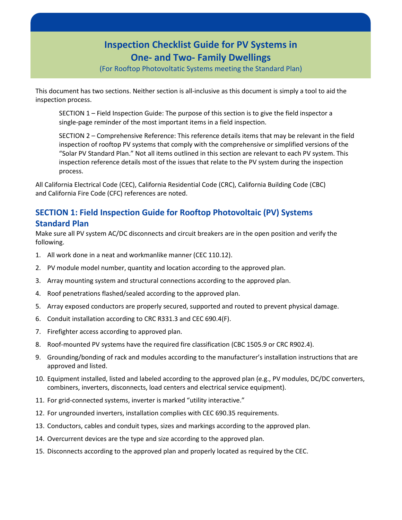# **Inspection Checklist Guide for PV Systems in One- and Two- Family Dwellings**

(For Rooftop Photovoltatic Systems meeting the Standard Plan)

This document has two sections. Neither section is all-inclusive as this document is simply a tool to aid the inspection process.

SECTION 1 – Field Inspection Guide: The purpose of this section is to give the field inspector a single-page reminder of the most important items in a field inspection.

SECTION 2 – Comprehensive Reference: This reference details items that may be relevant in the field inspection of rooftop PV systems that comply with the comprehensive or simplified versions of the "Solar PV Standard Plan." Not all items outlined in this section are relevant to each PV system. This inspection reference details most of the issues that relate to the PV system during the inspection process.

All California Electrical Code (CEC), California Residential Code (CRC), California Building Code (CBC) and California Fire Code (CFC) references are noted.

# **SECTION 1: Field Inspection Guide for Rooftop Photovoltaic (PV) Systems Standard Plan**

Make sure all PV system AC/DC disconnects and circuit breakers are in the open position and verify the following.

- 1. All work done in a neat and workmanlike manner (CEC 110.12).
- 2. PV module model number, quantity and location according to the approved plan.
- 3. Array mounting system and structural connections according to the approved plan.
- 4. Roof penetrations flashed/sealed according to the approved plan.
- 5. Array exposed conductors are properly secured, supported and routed to prevent physical damage.
- 6. Conduit installation according to CRC R331.3 and CEC 690.4(F).
- 7. Firefighter access according to approved plan.
- 8. Roof-mounted PV systems have the required fire classification (CBC 1505.9 or CRC R902.4).
- 9. Grounding/bonding of rack and modules according to the manufacturer's installation instructions that are approved and listed.
- 10. Equipment installed, listed and labeled according to the approved plan (e.g., PV modules, DC/DC converters, combiners, inverters, disconnects, load centers and electrical service equipment).
- 11. For grid-connected systems, inverter is marked "utility interactive."
- 12. For ungrounded inverters, installation complies with CEC 690.35 requirements.
- 13. Conductors, cables and conduit types, sizes and markings according to the approved plan.
- 14. Overcurrent devices are the type and size according to the approved plan.
- 15. Disconnects according to the approved plan and properly located as required by the CEC.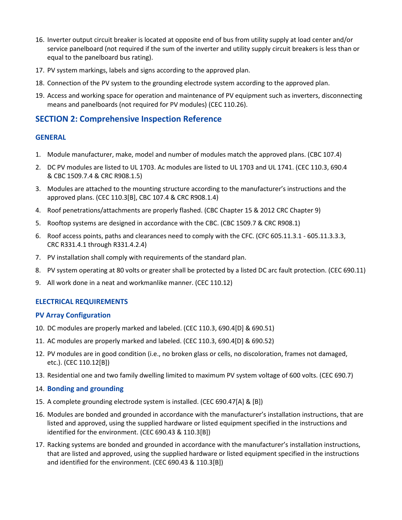- 16. Inverter output circuit breaker is located at opposite end of bus from utility supply at load center and/or service panelboard (not required if the sum of the inverter and utility supply circuit breakers is less than or equal to the panelboard bus rating).
- 17. PV system markings, labels and signs according to the approved plan.
- 18. Connection of the PV system to the grounding electrode system according to the approved plan.
- 19. Access and working space for operation and maintenance of PV equipment such as inverters, disconnecting means and panelboards (not required for PV modules) (CEC 110.26).

# **SECTION 2: Comprehensive Inspection Reference**

### **GENERAL**

- 1. Module manufacturer, make, model and number of modules match the approved plans. (CBC 107.4)
- 2. DC PV modules are listed to UL 1703. Ac modules are listed to UL 1703 and UL 1741. (CEC 110.3, 690.4 & CBC 1509.7.4 & CRC R908.1.5)
- 3. Modules are attached to the mounting structure according to the manufacturer's instructions and the approved plans. (CEC 110.3[B], CBC 107.4 & CRC R908.1.4)
- 4. Roof penetrations/attachments are properly flashed. (CBC Chapter 15 & 2012 CRC Chapter 9)
- 5. Rooftop systems are designed in accordance with the CBC. (CBC 1509.7 & CRC R908.1)
- 6. Roof access points, paths and clearances need to comply with the CFC. (CFC 605.11.3.1 605.11.3.3.3, CRC R331.4.1 through R331.4.2.4)
- 7. PV installation shall comply with requirements of the standard plan.
- 8. PV system operating at 80 volts or greater shall be protected by a listed DC arc fault protection. (CEC 690.11)
- 9. All work done in a neat and workmanlike manner. (CEC 110.12)

# **ELECTRICAL REQUIREMENTS**

#### **PV Array Configuration**

- 10. DC modules are properly marked and labeled. (CEC 110.3, 690.4[D] & 690.51)
- 11. AC modules are properly marked and labeled. (CEC 110.3, 690.4[D] & 690.52)
- 12. PV modules are in good condition (i.e., no broken glass or cells, no discoloration, frames not damaged, etc.). (CEC 110.12[B])
- 13. Residential one and two family dwelling limited to maximum PV system voltage of 600 volts. (CEC 690.7)

#### 14. **Bonding and grounding**

- 15. A complete grounding electrode system is installed. (CEC 690.47[A] & [B])
- 16. Modules are bonded and grounded in accordance with the manufacturer's installation instructions, that are listed and approved, using the supplied hardware or listed equipment specified in the instructions and identified for the environment. (CEC 690.43 & 110.3[B])
- 17. Racking systems are bonded and grounded in accordance with the manufacturer's installation instructions, that are listed and approved, using the supplied hardware or listed equipment specified in the instructions and identified for the environment. (CEC 690.43 & 110.3[B])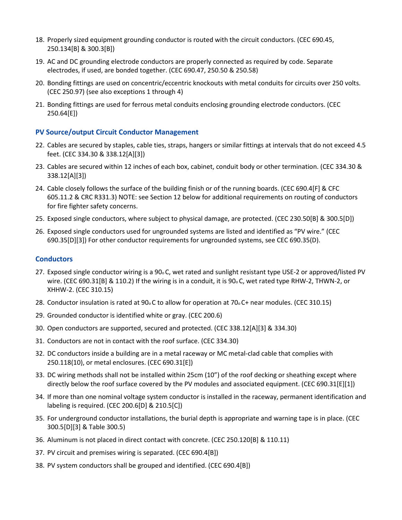- 18. Properly sized equipment grounding conductor is routed with the circuit conductors. (CEC 690.45, 250.134[B] & 300.3[B])
- 19. AC and DC grounding electrode conductors are properly connected as required by code. Separate electrodes, if used, are bonded together. (CEC 690.47, 250.50 & 250.58)
- 20. Bonding fittings are used on concentric/eccentric knockouts with metal conduits for circuits over 250 volts. (CEC 250.97) (see also exceptions 1 through 4)
- 21. Bonding fittings are used for ferrous metal conduits enclosing grounding electrode conductors. (CEC 250.64[E])

# **PV Source/output Circuit Conductor Management**

- 22. Cables are secured by staples, cable ties, straps, hangers or similar fittings at intervals that do not exceed 4.5 feet. (CEC 334.30 & 338.12[A][3])
- 23. Cables are secured within 12 inches of each box, cabinet, conduit body or other termination. (CEC 334.30 & 338.12[A][3])
- 24. Cable closely follows the surface of the building finish or of the running boards. (CEC 690.4[F] & CFC 605.11.2 & CRC R331.3) NOTE: see Section 12 below for additional requirements on routing of conductors for fire fighter safety concerns.
- 25. Exposed single conductors, where subject to physical damage, are protected. (CEC 230.50[B] & 300.5[D])
- 26. Exposed single conductors used for ungrounded systems are listed and identified as "PV wire." (CEC 690.35[D][3]) For other conductor requirements for ungrounded systems, see CEC 690.35(D).

#### **Conductors**

- 27. Exposed single conductor wiring is a 90<sub>0</sub>C, wet rated and sunlight resistant type USE-2 or approved/listed PV wire. (CEC 690.31[B] & 110.2) If the wiring is in a conduit, it is 90o C, wet rated type RHW-2, THWN-2, or XHHW-2. (CEC 310.15)
- 28. Conductor insulation is rated at 90o C to allow for operation at 70o C+ near modules. (CEC 310.15)
- 29. Grounded conductor is identified white or gray. (CEC 200.6)
- 30. Open conductors are supported, secured and protected. (CEC 338.12[A][3] & 334.30)
- 31. Conductors are not in contact with the roof surface. (CEC 334.30)
- 32. DC conductors inside a building are in a metal raceway or MC metal-clad cable that complies with 250.118(10), or metal enclosures. (CEC 690.31[E])
- 33. DC wiring methods shall not be installed within 25cm (10") of the roof decking or sheathing except where directly below the roof surface covered by the PV modules and associated equipment. (CEC 690.31[E][1])
- 34. If more than one nominal voltage system conductor is installed in the raceway, permanent identification and labeling is required. (CEC 200.6[D] & 210.5[C])
- 35. For underground conductor installations, the burial depth is appropriate and warning tape is in place. (CEC 300.5[D][3] & Table 300.5)
- 36. Aluminum is not placed in direct contact with concrete. (CEC 250.120[B] & 110.11)
- 37. PV circuit and premises wiring is separated. (CEC 690.4[B])
- 38. PV system conductors shall be grouped and identified. (CEC 690.4[B])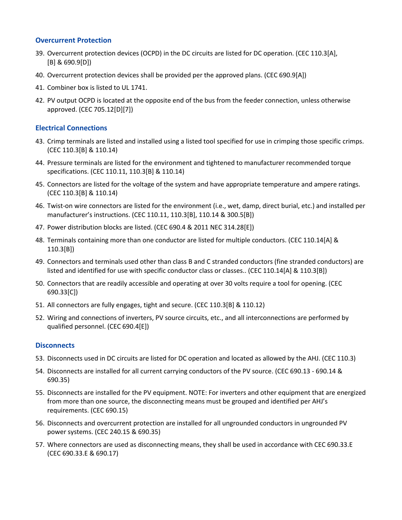## **Overcurrent Protection**

- 39. Overcurrent protection devices (OCPD) in the DC circuits are listed for DC operation. (CEC 110.3[A], [B] & 690.9[D])
- 40. Overcurrent protection devices shall be provided per the approved plans. (CEC 690.9[A])
- 41. Combiner box is listed to UL 1741.
- 42. PV output OCPD is located at the opposite end of the bus from the feeder connection, unless otherwise approved. (CEC 705.12[D][7])

## **Electrical Connections**

- 43. Crimp terminals are listed and installed using a listed tool specified for use in crimping those specific crimps. (CEC 110.3[B] & 110.14)
- 44. Pressure terminals are listed for the environment and tightened to manufacturer recommended torque specifications. (CEC 110.11, 110.3[B] & 110.14)
- 45. Connectors are listed for the voltage of the system and have appropriate temperature and ampere ratings. (CEC 110.3[B] & 110.14)
- 46. Twist-on wire connectors are listed for the environment (i.e., wet, damp, direct burial, etc.) and installed per manufacturer's instructions. (CEC 110.11, 110.3[B], 110.14 & 300.5[B])
- 47. Power distribution blocks are listed. (CEC 690.4 & 2011 NEC 314.28[E])
- 48. Terminals containing more than one conductor are listed for multiple conductors. (CEC 110.14[A] & 110.3[B])
- 49. Connectors and terminals used other than class B and C stranded conductors (fine stranded conductors) are listed and identified for use with specific conductor class or classes.. (CEC 110.14[A] & 110.3[B])
- 50. Connectors that are readily accessible and operating at over 30 volts require a tool for opening. (CEC 690.33[C])
- 51. All connectors are fully engages, tight and secure. (CEC 110.3[B] & 110.12)
- 52. Wiring and connections of inverters, PV source circuits, etc., and all interconnections are performed by qualified personnel. (CEC 690.4[E])

#### **Disconnects**

- 53. Disconnects used in DC circuits are listed for DC operation and located as allowed by the AHJ. (CEC 110.3)
- 54. Disconnects are installed for all current carrying conductors of the PV source. (CEC 690.13 690.14 & 690.35)
- 55. Disconnects are installed for the PV equipment. NOTE: For inverters and other equipment that are energized from more than one source, the disconnecting means must be grouped and identified per AHJ's requirements. (CEC 690.15)
- 56. Disconnects and overcurrent protection are installed for all ungrounded conductors in ungrounded PV power systems. (CEC 240.15 & 690.35)
- 57. Where connectors are used as disconnecting means, they shall be used in accordance with CEC 690.33.E (CEC 690.33.E & 690.17)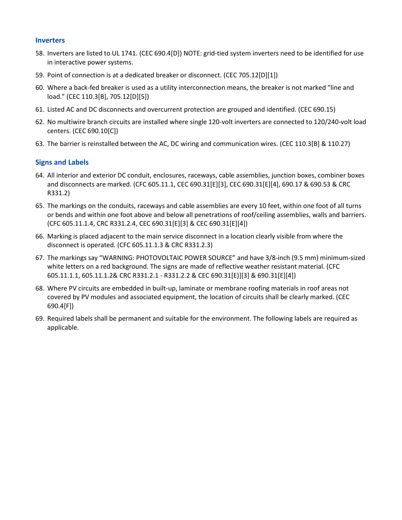#### **Inverters**

- 58. Inverters are listed to UL 1741. (CEC 690.4[D]) NOTE: grid-tied system inverters need to be identified for use in interactive power systems.
- 59. Point of connection is at a dedicated breaker or disconnect. (CEC 705.12[D][1])
- 60. Where a back-fed breaker is used as a utility interconnection means, the breaker is not marked "line and load." (CEC 110.3[B], 705.12[D][5])
- 61. Listed AC and DC disconnects and overcurrent protection are grouped and identified. (CEC 690.15)
- 62. No multiwire branch circuits are installed where single 120-volt inverters are connected to 120/240-volt load centers. (CEC 690.10[C])
- 63. The barrier is reinstalled between the AC, DC wiring and communication wires. (CEC 110.3[B] & 110.27)

#### **Signs and Labels**

- 64. All interior and exterior DC conduit, enclosures, raceways, cable assemblies, junction boxes, combiner boxes and disconnects are marked. (CFC 605.11.1, CEC 690.31[E][3], CEC 690.31[E][4], 690.17 & 690.53 & CRC R331.2)
- 65. The markings on the conduits, raceways and cable assemblies are every 10 feet, within one foot of all turns or bends and within one foot above and below all penetrations of roof/ceiling assemblies, walls and barriers. (CFC 605.11.1.4, CRC R331.2.4, CEC 690.31[E][3] & CEC 690.31[E][4])
- 66. Marking is placed adjacent to the main service disconnect in a location clearly visible from where the disconnect is operated. (CFC 605.11.1.3 & CRC R331.2.3)
- 67. The markings say "WARNING: PHOTOVOLTAIC POWER SOURCE" and have 3/8-inch (9.5 mm) minimum-sized white letters on a red background. The signs are made of reflective weather resistant material. (CFC 605.11.1.1, 605.11.1.2& CRC R331.2.1 - R331.2.2 & CEC 690.31[E)][3] & 690.31[E][4])
- 68. Where PV circuits are embedded in built-up, laminate or membrane roofing materials in roof areas not covered by PV modules and associated equipment, the location of circuits shall be clearly marked. (CEC 690.4[F])
- 69. Required labels shall be permanent and suitable for the environment. The following labels are required as applicable.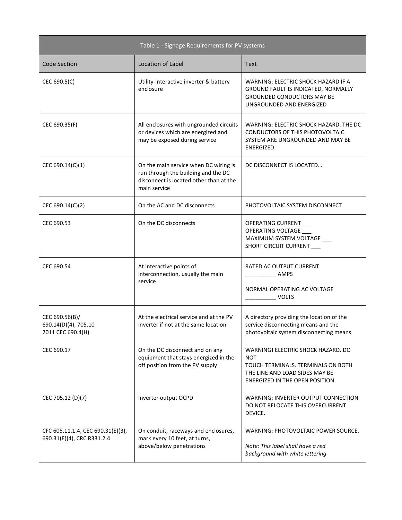| Table 1 - Signage Requirements for PV systems                   |                                                                                                                                         |                                                                                                                                                             |
|-----------------------------------------------------------------|-----------------------------------------------------------------------------------------------------------------------------------------|-------------------------------------------------------------------------------------------------------------------------------------------------------------|
| <b>Code Section</b>                                             | Location of Label                                                                                                                       | <b>Text</b>                                                                                                                                                 |
| CEC 690.5(C)                                                    | Utility-interactive inverter & battery<br>enclosure                                                                                     | WARNING: ELECTRIC SHOCK HAZARD IF A<br><b>GROUND FAULT IS INDICATED, NORMALLY</b><br><b>GROUNDED CONDUCTORS MAY BE</b><br>UNGROUNDED AND ENERGIZED          |
| CEC 690.35(F)                                                   | All enclosures with ungrounded circuits<br>or devices which are energized and<br>may be exposed during service                          | WARNING: ELECTRIC SHOCK HAZARD. THE DC<br>CONDUCTORS OF THIS PHOTOVOLTAIC<br>SYSTEM ARE UNGROUNDED AND MAY BE<br>ENERGIZED.                                 |
| CEC 690.14(C)(1)                                                | On the main service when DC wiring is<br>run through the building and the DC<br>disconnect is located other than at the<br>main service | DC DISCONNECT IS LOCATED                                                                                                                                    |
| CEC 690.14(C)(2)                                                | On the AC and DC disconnects                                                                                                            | PHOTOVOLTAIC SYSTEM DISCONNECT                                                                                                                              |
| CEC 690.53                                                      | On the DC disconnects                                                                                                                   | OPERATING CURRENT<br>OPERATING VOLTAGE<br>MAXIMUM SYSTEM VOLTAGE<br>SHORT CIRCUIT CURRENT                                                                   |
| CEC 690.54                                                      | At interactive points of<br>interconnection, usually the main<br>service                                                                | RATED AC OUTPUT CURRENT<br>AMPS<br>NORMAL OPERATING AC VOLTAGE<br><b>VOLTS</b>                                                                              |
| CEC 690.56(B)/<br>690.14(D)(4), 705.10<br>2011 CEC 690.4(H)     | At the electrical service and at the PV<br>inverter if not at the same location                                                         | A directory providing the location of the<br>service disconnecting means and the<br>photovoltaic system disconnecting means                                 |
| CEC 690.17                                                      | On the DC disconnect and on any<br>equipment that stays energized in the<br>off position from the PV supply                             | WARNING! ELECTRIC SHOCK HAZARD. DO<br><b>NOT</b><br>TOUCH TERMINALS. TERMINALS ON BOTH<br>THE LINE AND LOAD SIDES MAY BE<br>ENERGIZED IN THE OPEN POSITION. |
| CEC 705.12 (D)(7)                                               | Inverter output OCPD                                                                                                                    | WARNING: INVERTER OUTPUT CONNECTION<br>DO NOT RELOCATE THIS OVERCURRENT<br>DEVICE.                                                                          |
| CFC 605.11.1.4, CEC 690.31(E)(3),<br>690.31(E)(4), CRC R331.2.4 | On conduit, raceways and enclosures,<br>mark every 10 feet, at turns,<br>above/below penetrations                                       | WARNING: PHOTOVOLTAIC POWER SOURCE.<br>Note: This label shall have a red<br>background with white lettering                                                 |